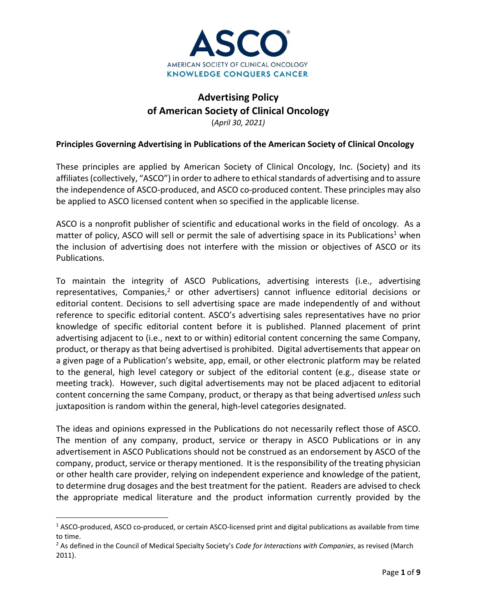

# **Advertising Policy of American Society of Clinical Oncology** (*April 30, 2021)*

### **Principles Governing Advertising in Publications of the American Society of Clinical Oncology**

These principles are applied by American Society of Clinical Oncology, Inc. (Society) and its affiliates (collectively, "ASCO") in order to adhere to ethical standards of advertising and to assure the independence of ASCO‐produced, and ASCO co‐produced content. These principles may also be applied to ASCO licensed content when so specified in the applicable license.

ASCO is a nonprofit publisher of scientific and educational works in the field of oncology. As a matter of policy, ASCO will sell or permit the sale of advertising space in its Publications<sup>1</sup> when the inclusion of advertising does not interfere with the mission or objectives of ASCO or its Publications.

To maintain the integrity of ASCO Publications, advertising interests (i.e., advertising representatives, Companies, $2$  or other advertisers) cannot influence editorial decisions or editorial content. Decisions to sell advertising space are made independently of and without reference to specific editorial content. ASCO's advertising sales representatives have no prior knowledge of specific editorial content before it is published. Planned placement of print advertising adjacent to (i.e., next to or within) editorial content concerning the same Company, product, or therapy as that being advertised is prohibited. Digital advertisements that appear on a given page of a Publication's website, app, email, or other electronic platform may be related to the general, high level category or subject of the editorial content (e.g., disease state or meeting track). However, such digital advertisements may not be placed adjacent to editorial content concerning the same Company, product, or therapy as that being advertised *unless* such juxtaposition is random within the general, high‐level categories designated.

The ideas and opinions expressed in the Publications do not necessarily reflect those of ASCO. The mention of any company, product, service or therapy in ASCO Publications or in any advertisement in ASCO Publications should not be construed as an endorsement by ASCO of the company, product, service or therapy mentioned. It is the responsibility of the treating physician or other health care provider, relying on independent experience and knowledge of the patient, to determine drug dosages and the best treatment for the patient. Readers are advised to check the appropriate medical literature and the product information currently provided by the

<sup>&</sup>lt;sup>1</sup> ASCO-produced, ASCO co-produced, or certain ASCO-licensed print and digital publications as available from time to time.

<sup>2</sup> As defined in the Council of Medical Specialty Society's *Code for Interactions with Companies*, as revised (March 2011).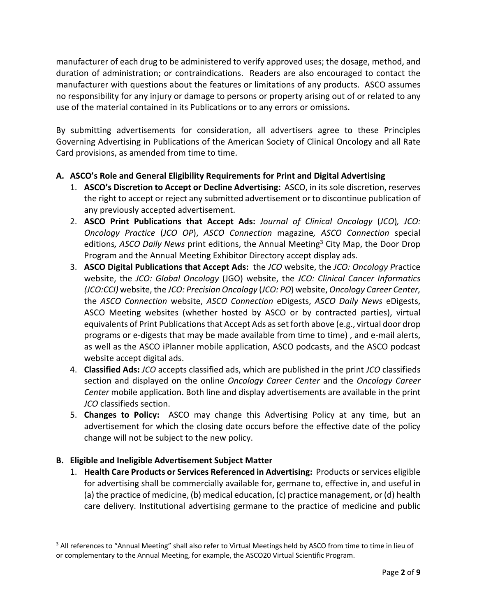manufacturer of each drug to be administered to verify approved uses; the dosage, method, and duration of administration; or contraindications. Readers are also encouraged to contact the manufacturer with questions about the features or limitations of any products. ASCO assumes no responsibility for any injury or damage to persons or property arising out of or related to any use of the material contained in its Publications or to any errors or omissions.

By submitting advertisements for consideration, all advertisers agree to these Principles Governing Advertising in Publications of the American Society of Clinical Oncology and all Rate Card provisions, as amended from time to time.

# **A. ASCO's Role and General Eligibility Requirements for Print and Digital Advertising**

- 1. **ASCO's Discretion to Accept or Decline Advertising:** ASCO, in its sole discretion, reserves the right to accept or reject any submitted advertisement or to discontinue publication of any previously accepted advertisement.
- 2. **ASCO Print Publications that Accept Ads:** *Journal of Clinical Oncology* (*JCO*)*, JCO: Oncology Practice* (*JCO OP*), *ASCO Connection* magazine*, ASCO Connection* special editions*, ASCO Daily News* print editions, the Annual Meeting3 City Map, the Door Drop Program and the Annual Meeting Exhibitor Directory accept display ads.
- 3. **ASCO Digital Publications that Accept Ads:** the *JCO* website, the *JCO: Oncology P*ractice website, the *JCO: Global Oncology* (JGO) website, the *JCO: Clinical Cancer Informatics (JCO:CCI)* website, the *JCO: Precision Oncology* (*JCO: PO*) website, *Oncology Career Center,* the *ASCO Connection* website, *ASCO Connection* eDigests, *ASCO Daily News* eDigests, ASCO Meeting websites (whether hosted by ASCO or by contracted parties), virtual equivalents of Print Publications that Accept Ads as set forth above (e.g., virtual door drop programs or e‐digests that may be made available from time to time) , and e‐mail alerts, as well as the ASCO iPlanner mobile application, ASCO podcasts, and the ASCO podcast website accept digital ads.
- 4. **Classified Ads:** *JCO* accepts classified ads, which are published in the print *JCO* classifieds section and displayed on the online *Oncology Career Center* and the *Oncology Career Center* mobile application. Both line and display advertisements are available in the print *JCO* classifieds section.
- 5. **Changes to Policy:** ASCO may change this Advertising Policy at any time, but an advertisement for which the closing date occurs before the effective date of the policy change will not be subject to the new policy.

## **B. Eligible and Ineligible Advertisement Subject Matter**

1. **Health Care Products or Services Referenced in Advertising:** Products orservices eligible for advertising shall be commercially available for, germane to, effective in, and useful in (a) the practice of medicine, (b) medical education, (c) practice management, or (d) health care delivery. Institutional advertising germane to the practice of medicine and public

<sup>&</sup>lt;sup>3</sup> All references to "Annual Meeting" shall also refer to Virtual Meetings held by ASCO from time to time in lieu of or complementary to the Annual Meeting, for example, the ASCO20 Virtual Scientific Program.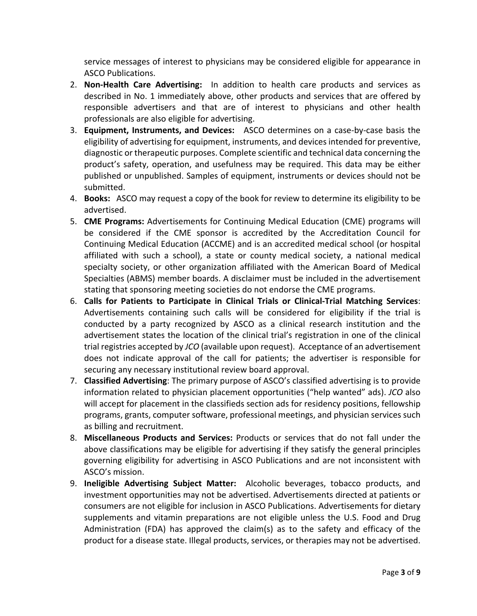service messages of interest to physicians may be considered eligible for appearance in ASCO Publications.

- 2. **Non‐Health Care Advertising:** In addition to health care products and services as described in No. 1 immediately above, other products and services that are offered by responsible advertisers and that are of interest to physicians and other health professionals are also eligible for advertising.
- 3. **Equipment, Instruments, and Devices:** ASCO determines on a case‐by‐case basis the eligibility of advertising for equipment, instruments, and devices intended for preventive, diagnostic or therapeutic purposes. Complete scientific and technical data concerning the product's safety, operation, and usefulness may be required. This data may be either published or unpublished. Samples of equipment, instruments or devices should not be submitted.
- 4. **Books:** ASCO may request a copy of the book for review to determine its eligibility to be advertised.
- 5. **CME Programs:** Advertisements for Continuing Medical Education (CME) programs will be considered if the CME sponsor is accredited by the Accreditation Council for Continuing Medical Education (ACCME) and is an accredited medical school (or hospital affiliated with such a school), a state or county medical society, a national medical specialty society, or other organization affiliated with the American Board of Medical Specialties (ABMS) member boards. A disclaimer must be included in the advertisement stating that sponsoring meeting societies do not endorse the CME programs.
- 6. **Calls for Patients to Participate in Clinical Trials or Clinical‐Trial Matching Services**: Advertisements containing such calls will be considered for eligibility if the trial is conducted by a party recognized by ASCO as a clinical research institution and the advertisement states the location of the clinical trial's registration in one of the clinical trial registries accepted by *JCO* (available upon request). Acceptance of an advertisement does not indicate approval of the call for patients; the advertiser is responsible for securing any necessary institutional review board approval.
- 7. **Classified Advertising**: The primary purpose of ASCO's classified advertising is to provide information related to physician placement opportunities ("help wanted" ads). *JCO* also will accept for placement in the classifieds section ads for residency positions, fellowship programs, grants, computer software, professional meetings, and physician services such as billing and recruitment.
- 8. **Miscellaneous Products and Services:** Products or services that do not fall under the above classifications may be eligible for advertising if they satisfy the general principles governing eligibility for advertising in ASCO Publications and are not inconsistent with ASCO's mission.
- 9. **Ineligible Advertising Subject Matter:** Alcoholic beverages, tobacco products, and investment opportunities may not be advertised. Advertisements directed at patients or consumers are not eligible for inclusion in ASCO Publications. Advertisements for dietary supplements and vitamin preparations are not eligible unless the U.S. Food and Drug Administration (FDA) has approved the claim(s) as to the safety and efficacy of the product for a disease state. Illegal products, services, or therapies may not be advertised.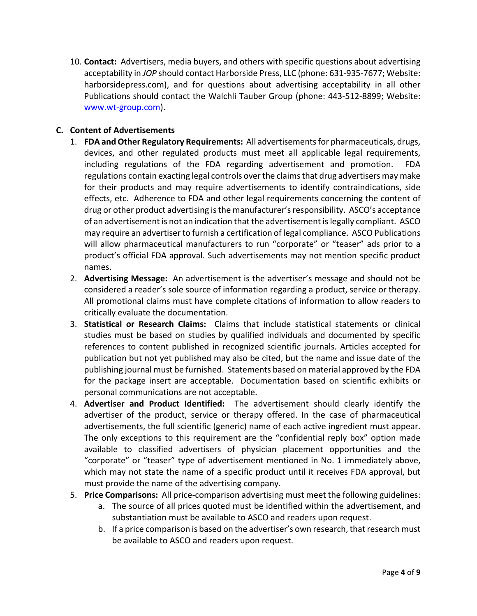10. **Contact:** Advertisers, media buyers, and others with specific questions about advertising acceptability in *JOP* should contact Harborside Press, LLC (phone: 631‐935‐7677; Website: harborsidepress.com), and for questions about advertising acceptability in all other Publications should contact the Walchli Tauber Group (phone: 443‐512‐8899; Website: www.wt‐group.com).

### **C. Content of Advertisements**

- 1. **FDA andOther Regulatory Requirements:** All advertisementsfor pharmaceuticals, drugs, devices, and other regulated products must meet all applicable legal requirements, including regulations of the FDA regarding advertisement and promotion. FDA regulations contain exacting legal controls over the claims that drug advertisers may make for their products and may require advertisements to identify contraindications, side effects, etc. Adherence to FDA and other legal requirements concerning the content of drug or other product advertising isthe manufacturer'sresponsibility. ASCO's acceptance of an advertisement is not an indication that the advertisement islegally compliant. ASCO may require an advertiser to furnish a certification of legal compliance. ASCO Publications will allow pharmaceutical manufacturers to run "corporate" or "teaser" ads prior to a product's official FDA approval. Such advertisements may not mention specific product names.
- 2. **Advertising Message:** An advertisement is the advertiser's message and should not be considered a reader's sole source of information regarding a product, service or therapy. All promotional claims must have complete citations of information to allow readers to critically evaluate the documentation.
- 3. **Statistical or Research Claims:** Claims that include statistical statements or clinical studies must be based on studies by qualified individuals and documented by specific references to content published in recognized scientific journals. Articles accepted for publication but not yet published may also be cited, but the name and issue date of the publishing journal must be furnished. Statements based on material approved by the FDA for the package insert are acceptable. Documentation based on scientific exhibits or personal communications are not acceptable.
- 4. **Advertiser and Product Identified:** The advertisement should clearly identify the advertiser of the product, service or therapy offered. In the case of pharmaceutical advertisements, the full scientific (generic) name of each active ingredient must appear. The only exceptions to this requirement are the "confidential reply box" option made available to classified advertisers of physician placement opportunities and the "corporate" or "teaser" type of advertisement mentioned in No. 1 immediately above, which may not state the name of a specific product until it receives FDA approval, but must provide the name of the advertising company.
- 5. **Price Comparisons:** All price‐comparison advertising must meet the following guidelines:
	- a. The source of all prices quoted must be identified within the advertisement, and substantiation must be available to ASCO and readers upon request.
	- b. If a price comparison is based on the advertiser's own research, that research must be available to ASCO and readers upon request.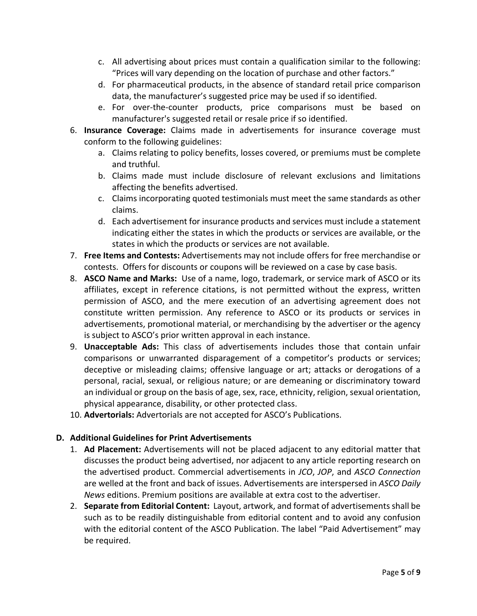- c. All advertising about prices must contain a qualification similar to the following: "Prices will vary depending on the location of purchase and other factors."
- d. For pharmaceutical products, in the absence of standard retail price comparison data, the manufacturer's suggested price may be used if so identified.
- e. For over‐the‐counter products, price comparisons must be based on manufacturer's suggested retail or resale price if so identified.
- 6. **Insurance Coverage:** Claims made in advertisements for insurance coverage must conform to the following guidelines:
	- a. Claims relating to policy benefits, losses covered, or premiums must be complete and truthful.
	- b. Claims made must include disclosure of relevant exclusions and limitations affecting the benefits advertised.
	- c. Claims incorporating quoted testimonials must meet the same standards as other claims.
	- d. Each advertisement for insurance products and services must include a statement indicating either the states in which the products or services are available, or the states in which the products or services are not available.
- 7. **Free Items and Contests:** Advertisements may not include offers for free merchandise or contests. Offers for discounts or coupons will be reviewed on a case by case basis.
- 8. **ASCO Name and Marks:** Use of a name, logo, trademark, or service mark of ASCO or its affiliates, except in reference citations, is not permitted without the express, written permission of ASCO, and the mere execution of an advertising agreement does not constitute written permission. Any reference to ASCO or its products or services in advertisements, promotional material, or merchandising by the advertiser or the agency is subject to ASCO's prior written approval in each instance.
- 9. **Unacceptable Ads:** This class of advertisements includes those that contain unfair comparisons or unwarranted disparagement of a competitor's products or services; deceptive or misleading claims; offensive language or art; attacks or derogations of a personal, racial, sexual, or religious nature; or are demeaning or discriminatory toward an individual or group on the basis of age, sex, race, ethnicity, religion, sexual orientation, physical appearance, disability, or other protected class.
- 10. **Advertorials:** Advertorials are not accepted for ASCO's Publications.

## **D. Additional Guidelines for Print Advertisements**

- 1. **Ad Placement:** Advertisements will not be placed adjacent to any editorial matter that discusses the product being advertised, nor adjacent to any article reporting research on the advertised product. Commercial advertisements in *JCO*, *JOP*, and *ASCO Connection* are welled at the front and back of issues. Advertisements are interspersed in *ASCO Daily News* editions. Premium positions are available at extra cost to the advertiser.
- 2. **Separate from Editorial Content:** Layout, artwork, and format of advertisementsshall be such as to be readily distinguishable from editorial content and to avoid any confusion with the editorial content of the ASCO Publication. The label "Paid Advertisement" may be required.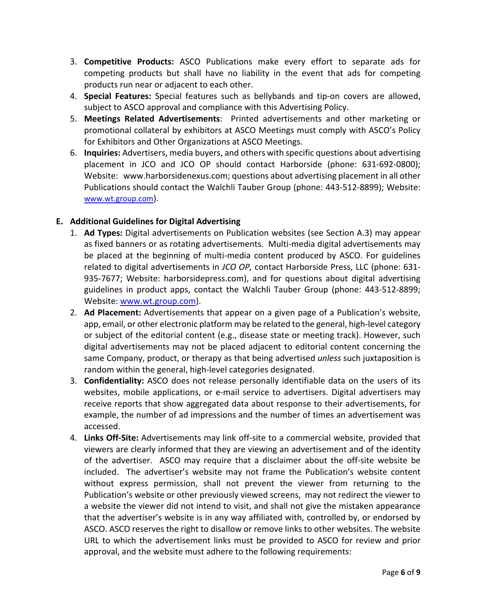- 3. **Competitive Products:** ASCO Publications make every effort to separate ads for competing products but shall have no liability in the event that ads for competing products run near or adjacent to each other.
- 4. **Special Features:** Special features such as bellybands and tip‐on covers are allowed, subject to ASCO approval and compliance with this Advertising Policy.
- 5. **Meetings Related Advertisements**: Printed advertisements and other marketing or promotional collateral by exhibitors at ASCO Meetings must comply with ASCO's Policy for Exhibitors and Other Organizations at ASCO Meetings.
- 6. **Inquiries:** Advertisers, media buyers, and others with specific questions about advertising placement in JCO and JCO OP should contact Harborside (phone: 631‐692‐0800); Website: www.harborsidenexus.com; questions about advertising placement in all other Publications should contact the Walchli Tauber Group (phone: 443‐512‐8899); Website: www.wt.group.com).

## **E. Additional Guidelines for Digital Advertising**

- 1. **Ad Types:** Digital advertisements on Publication websites (see Section A.3) may appear as fixed banners or as rotating advertisements. Multi‐media digital advertisements may be placed at the beginning of multi‐media content produced by ASCO. For guidelines related to digital advertisements in *JCO OP,* contact Harborside Press, LLC (phone: 631‐ 935-7677; Website: harborsidepress.com), and for questions about digital advertising guidelines in product apps, contact the Walchli Tauber Group (phone: 443‐512‐8899; Website: www.wt.group.com).
- 2. **Ad Placement:** Advertisements that appear on a given page of a Publication's website, app, email, or other electronic platform may be related to the general, high‐level category or subject of the editorial content (e.g., disease state or meeting track). However, such digital advertisements may not be placed adjacent to editorial content concerning the same Company, product, or therapy as that being advertised *unless* such juxtaposition is random within the general, high‐level categories designated.
- 3. **Confidentiality:** ASCO does not release personally identifiable data on the users of its websites, mobile applications, or e-mail service to advertisers. Digital advertisers may receive reports that show aggregated data about response to their advertisements, for example, the number of ad impressions and the number of times an advertisement was accessed.
- 4. **Links Off‐Site:** Advertisements may link off‐site to a commercial website, provided that viewers are clearly informed that they are viewing an advertisement and of the identity of the advertiser. ASCO may require that a disclaimer about the off‐site website be included. The advertiser's website may not frame the Publication's website content without express permission, shall not prevent the viewer from returning to the Publication's website or other previously viewed screens, may not redirect the viewer to a website the viewer did not intend to visit, and shall not give the mistaken appearance that the advertiser's website is in any way affiliated with, controlled by, or endorsed by ASCO. ASCO reserves the right to disallow or remove links to other websites. The website URL to which the advertisement links must be provided to ASCO for review and prior approval, and the website must adhere to the following requirements: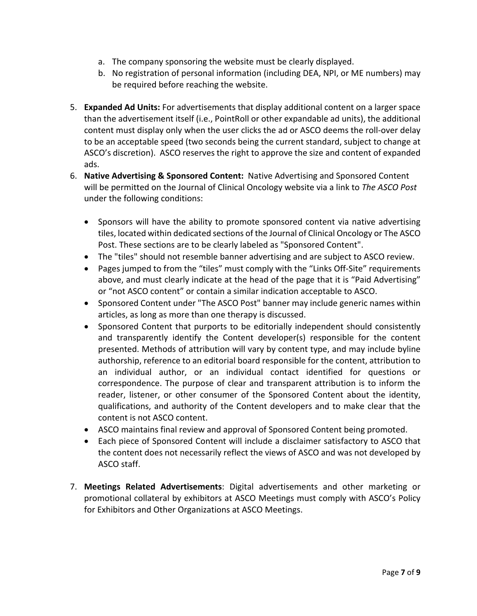- a. The company sponsoring the website must be clearly displayed.
- b. No registration of personal information (including DEA, NPI, or ME numbers) may be required before reaching the website.
- 5. **Expanded Ad Units:** For advertisements that display additional content on a larger space than the advertisement itself (i.e., PointRoll or other expandable ad units), the additional content must display only when the user clicks the ad or ASCO deems the roll‐over delay to be an acceptable speed (two seconds being the current standard, subject to change at ASCO's discretion). ASCO reserves the right to approve the size and content of expanded ads.
- 6. **Native Advertising & Sponsored Content:** Native Advertising and Sponsored Content will be permitted on the Journal of Clinical Oncology website via a link to *The ASCO Post* under the following conditions:
	- Sponsors will have the ability to promote sponsored content via native advertising tiles, located within dedicated sections of the Journal of Clinical Oncology or The ASCO Post. These sections are to be clearly labeled as "Sponsored Content".
	- The "tiles" should not resemble banner advertising and are subject to ASCO review.
	- Pages jumped to from the "tiles" must comply with the "Links Off-Site" requirements above, and must clearly indicate at the head of the page that it is "Paid Advertising" or "not ASCO content" or contain a similar indication acceptable to ASCO.
	- Sponsored Content under "The ASCO Post" banner may include generic names within articles, as long as more than one therapy is discussed.
	- Sponsored Content that purports to be editorially independent should consistently and transparently identify the Content developer(s) responsible for the content presented. Methods of attribution will vary by content type, and may include byline authorship, reference to an editorial board responsible for the content, attribution to an individual author, or an individual contact identified for questions or correspondence. The purpose of clear and transparent attribution is to inform the reader, listener, or other consumer of the Sponsored Content about the identity, qualifications, and authority of the Content developers and to make clear that the content is not ASCO content.
	- ASCO maintains final review and approval of Sponsored Content being promoted.
	- Each piece of Sponsored Content will include a disclaimer satisfactory to ASCO that the content does not necessarily reflect the views of ASCO and was not developed by ASCO staff.
- 7. **Meetings Related Advertisements**: Digital advertisements and other marketing or promotional collateral by exhibitors at ASCO Meetings must comply with ASCO's Policy for Exhibitors and Other Organizations at ASCO Meetings.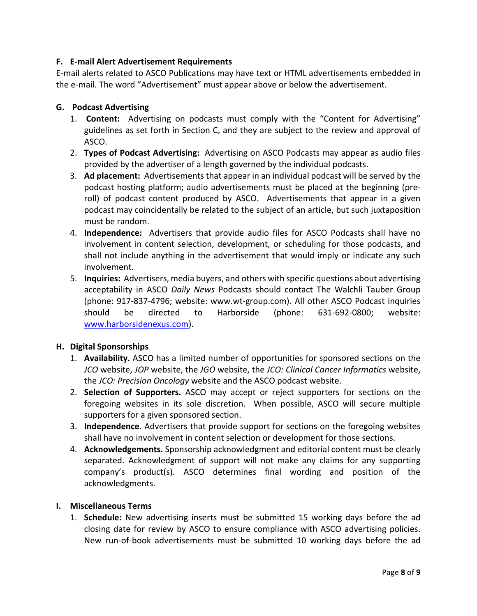### **F. E‐mail Alert Advertisement Requirements**

E‐mail alerts related to ASCO Publications may have text or HTML advertisements embedded in the e‐mail. The word "Advertisement" must appear above or below the advertisement.

#### **G. Podcast Advertising**

- 1. **Content:** Advertising on podcasts must comply with the "Content for Advertising" guidelines as set forth in Section C, and they are subject to the review and approval of ASCO.
- 2. **Types of Podcast Advertising:** Advertising on ASCO Podcasts may appear as audio files provided by the advertiser of a length governed by the individual podcasts.
- 3. **Ad placement:** Advertisements that appear in an individual podcast will be served by the podcast hosting platform; audio advertisements must be placed at the beginning (pre‐ roll) of podcast content produced by ASCO. Advertisements that appear in a given podcast may coincidentally be related to the subject of an article, but such juxtaposition must be random.
- 4. **Independence:** Advertisers that provide audio files for ASCO Podcasts shall have no involvement in content selection, development, or scheduling for those podcasts, and shall not include anything in the advertisement that would imply or indicate any such involvement.
- 5. **Inquiries:** Advertisers, media buyers, and others with specific questions about advertising acceptability in ASCO *Daily News* Podcasts should contact The Walchli Tauber Group (phone: 917‐837‐4796; website: www.wt‐group.com). All other ASCO Podcast inquiries should be directed to Harborside (phone: 631‐692‐0800; website: www.harborsidenexus.com).

#### **H. Digital Sponsorships**

- 1. **Availability.** ASCO has a limited number of opportunities for sponsored sections on the *JCO* website, *JOP* website, the *JGO* website, the *JCO: Clinical Cancer Informatics* website, the *JCO: Precision Oncology* website and the ASCO podcast website.
- 2. **Selection of Supporters.** ASCO may accept or reject supporters for sections on the foregoing websites in its sole discretion. When possible, ASCO will secure multiple supporters for a given sponsored section.
- 3. **Independence**. Advertisers that provide support for sections on the foregoing websites shall have no involvement in content selection or development for those sections.
- 4. **Acknowledgements.** Sponsorship acknowledgment and editorial content must be clearly separated. Acknowledgment of support will not make any claims for any supporting company's product(s). ASCO determines final wording and position of the acknowledgments.

#### **I. Miscellaneous Terms**

1. **Schedule:** New advertising inserts must be submitted 15 working days before the ad closing date for review by ASCO to ensure compliance with ASCO advertising policies. New run‐of‐book advertisements must be submitted 10 working days before the ad